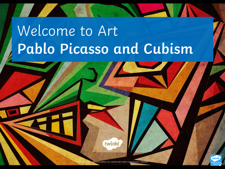# Welcome to Art **Pablo Picasso and Cubism**

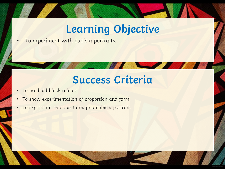## **Learning Objective**

• To experiment with cubism portraits.

#### **Success Criteria**

- To use bold block colours.
- To show experimentation of proportion and form.
- To express an emotion through a cubism portrait.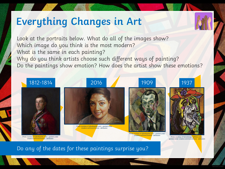#### **Everything Changes in Art**



Look at the portraits below. What do all of the images show? Which image do you think is the most modern? What is the same in each painting? Why do you think artists choose such different ways of painting? Do the paintings show emotion? How does the artist show these emotions?



Do any of the dates for these paintings surprise you?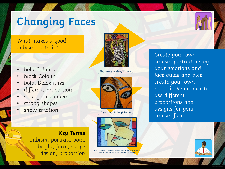# **Changing Faces**

#### What makes a good cubism portrait?

- bold Colours
- block Colour
- bold, Black lines
- different proportion
- strange placement
- strong shapes
- show emotion

**Key Terms** Cubism, portrait, bold, bright, form, shape design, proportion



Photo courtesy of NichoDesign (@flickr.com) – granted under creative commons licence - attribution



Photo courtesy of Max Braun (@flickr.com) – granted under creative commons licence - attribution



Photo courtesy of Max Braun (@www.publicdomainpictures.net) – granted under creative commons licence - attribution

Create your own cubism portrait, using your emotions and face guide and dice create your own portrait. Remember to use different proportions and designs for your cubism face.

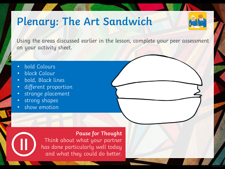### **Plenary: The Art Sandwich**



Using the areas discussed earlier in the lesson, complete your peer assessment on your activity sheet.

- bold Colours
- block Colour
- bold, Black lines
- different proportion
- strange placement
- strong shapes
- show emotion

**Pause for Thought** Think about what your partner has done particularly well today and what they could do better.